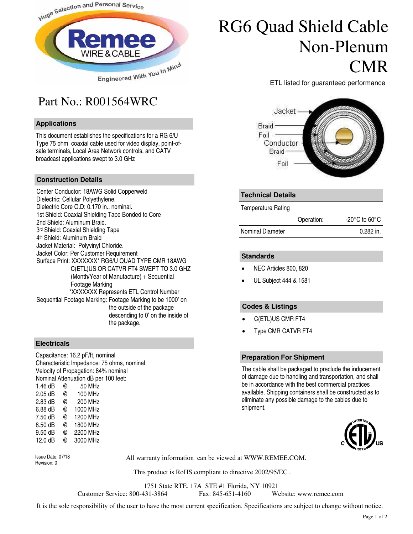

## Part No.: R001564WRC

#### **Applications**

This document establishes the specifications for a RG 6/U Type 75 ohm coaxial cable used for video display, point-ofsale terminals, Local Area Network controls, and CATV broadcast applications swept to 3.0 GHz

#### **Construction Details**

Center Conductor: 18AWG Solid Copperweld Dielectric: Cellular Polyethylene. Dielectric Core O.D: 0.170 in., nominal. 1st Shield: Coaxial Shielding Tape Bonded to Core 2nd Shield: Aluminum Braid. 3 rd Shield: Coaxial Shielding Tape 4 th Shield: Aluminum Braid Jacket Material: Polyvinyl Chloride. Jacket Color: Per Customer Requirement Surface Print: XXXXXXX\* RG6/U QUAD TYPE CMR 18AWG C(ETL)US OR CATVR FT4 SWEPT TO 3.0 GHZ (Month/Year of Manufacture) + Sequential Footage Marking \*XXXXXXX Represents ETL Control Number Sequential Footage Marking: Footage Marking to be 1000' on the outside of the package descending to 0' on the inside of the package.

#### **Electricals**

Capacitance: 16.2 pF/ft, nominal Characteristic Impedance: 75 ohms, nominal Velocity of Propagation: 84% nominal Nominal Attenuation dB per 100 feet: 1.46  $dB$  @ 2.05 dB @ 100 MHz 2.83 dB @ 200 MHz 6.88 dB @ 1000 MHz 7.50 dB @ 1200 MHz 8.50 dB @ 1800 MHz

9.50 dB @ 2200 MHz 12.0 dB @ 3000 MHz

Revision: 0

All warranty information can be viewed at WWW.REMEE.COM. Issue Date: 07/18

This product is RoHS compliant to directive 2002/95/EC .

1751 State RTE. 17A STE #1 Florida, NY 10921

Customer Service: 800-431-3864 Fax: 845-651-4160 Website: www.remee.com

It is the sole responsibility of the user to have the most current specification. Specifications are subject to change without notice.

## RG6 Quad Shield Cable Non-Plenum CMR

ETL listed for guaranteed performance



#### **Technical Details**

Temperature Rating

|                  | Operation: | $-20^{\circ}$ C to 60 $^{\circ}$ C |
|------------------|------------|------------------------------------|
| Nominal Diameter |            | 0.282 in.                          |

#### **Standards**

- NEC Articles 800, 820
- UL Subject 444 & 1581

#### **Codes & Listings**

- C(ETL)US CMR FT4
- Type CMR CATVR FT4

#### **Preparation For Shipment**

The cable shall be packaged to preclude the inducement of damage due to handling and transportation, and shall be in accordance with the best commercial practices available. Shipping containers shall be constructed as to eliminate any possible damage to the cables due to shipment.